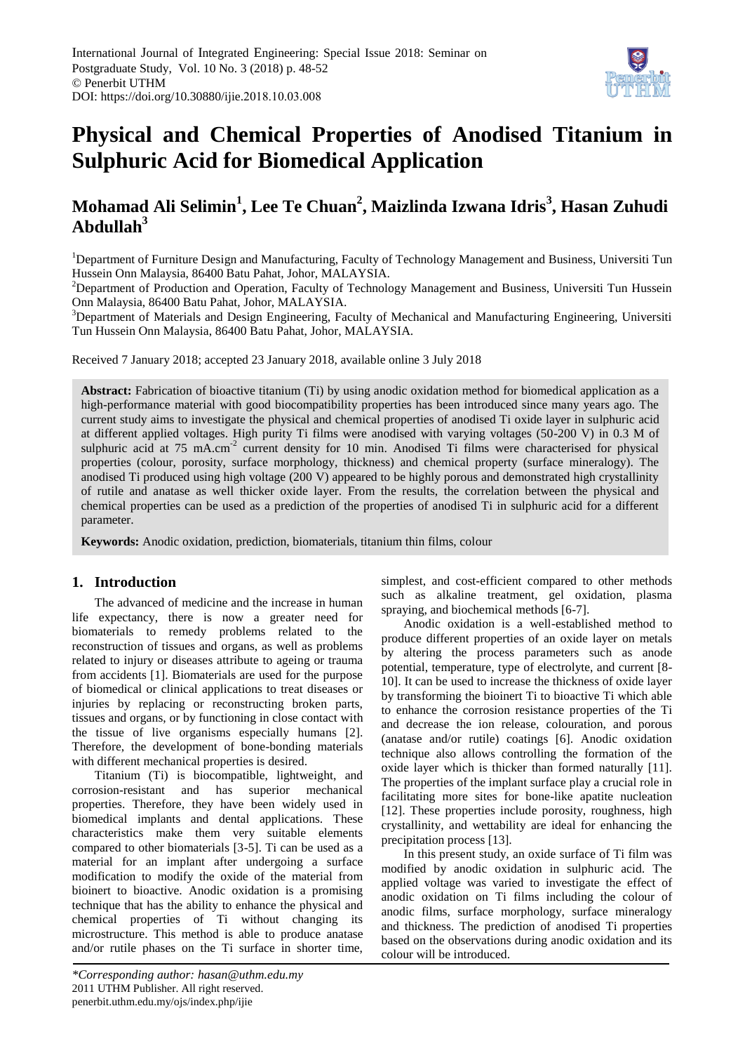

# **Physical and Chemical Properties of Anodised Titanium in Sulphuric Acid for Biomedical Application**

# **Mohamad Ali Selimin<sup>1</sup> , Lee Te Chuan<sup>2</sup> , Maizlinda Izwana Idris<sup>3</sup> , Hasan Zuhudi Abdullah<sup>3</sup>**

<sup>1</sup>Department of Furniture Design and Manufacturing, Faculty of Technology Management and Business, Universiti Tun Hussein Onn Malaysia, 86400 Batu Pahat, Johor, MALAYSIA.

<sup>2</sup>Department of Production and Operation, Faculty of Technology Management and Business, Universiti Tun Hussein Onn Malaysia, 86400 Batu Pahat, Johor, MALAYSIA.

<sup>3</sup>Department of Materials and Design Engineering, Faculty of Mechanical and Manufacturing Engineering, Universiti Tun Hussein Onn Malaysia, 86400 Batu Pahat, Johor, MALAYSIA.

Received 7 January 2018; accepted 23 January 2018, available online 3 July 2018

**Abstract:** Fabrication of bioactive titanium (Ti) by using anodic oxidation method for biomedical application as a high-performance material with good biocompatibility properties has been introduced since many years ago. The current study aims to investigate the physical and chemical properties of anodised Ti oxide layer in sulphuric acid at different applied voltages. High purity Ti films were anodised with varying voltages (50-200 V) in 0.3 M of sulphuric acid at 75 mA.cm<sup>-2</sup> current density for 10 min. Anodised Ti films were characterised for physical properties (colour, porosity, surface morphology, thickness) and chemical property (surface mineralogy). The anodised Ti produced using high voltage (200 V) appeared to be highly porous and demonstrated high crystallinity of rutile and anatase as well thicker oxide layer. From the results, the correlation between the physical and chemical properties can be used as a prediction of the properties of anodised Ti in sulphuric acid for a different parameter.

**Keywords:** Anodic oxidation, prediction, biomaterials, titanium thin films, colour

#### **1. Introduction**

The advanced of medicine and the increase in human life expectancy, there is now a greater need for biomaterials to remedy problems related to the reconstruction of tissues and organs, as well as problems related to injury or diseases attribute to ageing or trauma from accidents [1]. Biomaterials are used for the purpose of biomedical or clinical applications to treat diseases or injuries by replacing or reconstructing broken parts, tissues and organs, or by functioning in close contact with the tissue of live organisms especially humans [2]. Therefore, the development of bone-bonding materials with different mechanical properties is desired.

Titanium (Ti) is biocompatible, lightweight, and corrosion-resistant and has superior mechanical properties. Therefore, they have been widely used in biomedical implants and dental applications. These characteristics make them very suitable elements compared to other biomaterials [3-5]. Ti can be used as a material for an implant after undergoing a surface modification to modify the oxide of the material from bioinert to bioactive. Anodic oxidation is a promising technique that has the ability to enhance the physical and chemical properties of Ti without changing its microstructure. This method is able to produce anatase and/or rutile phases on the Ti surface in shorter time,

*\*Corresponding author: hasan@uthm.edu.my* 2011 UTHM Publisher. All right reserved. penerbit.uthm.edu.my/ojs/index.php/ijie

simplest, and cost-efficient compared to other methods such as alkaline treatment, gel oxidation, plasma spraying, and biochemical methods [6-7].

Anodic oxidation is a well-established method to produce different properties of an oxide layer on metals by altering the process parameters such as anode potential, temperature, type of electrolyte, and current [8- 10]. It can be used to increase the thickness of oxide layer by transforming the bioinert Ti to bioactive Ti which able to enhance the corrosion resistance properties of the Ti and decrease the ion release, colouration, and porous (anatase and/or rutile) coatings [6]. Anodic oxidation technique also allows controlling the formation of the oxide layer which is thicker than formed naturally [11]. The properties of the implant surface play a crucial role in facilitating more sites for bone-like apatite nucleation [12]. These properties include porosity, roughness, high crystallinity, and wettability are ideal for enhancing the precipitation process [13].

In this present study, an oxide surface of Ti film was modified by anodic oxidation in sulphuric acid. The applied voltage was varied to investigate the effect of anodic oxidation on Ti films including the colour of anodic films, surface morphology, surface mineralogy and thickness. The prediction of anodised Ti properties based on the observations during anodic oxidation and its colour will be introduced.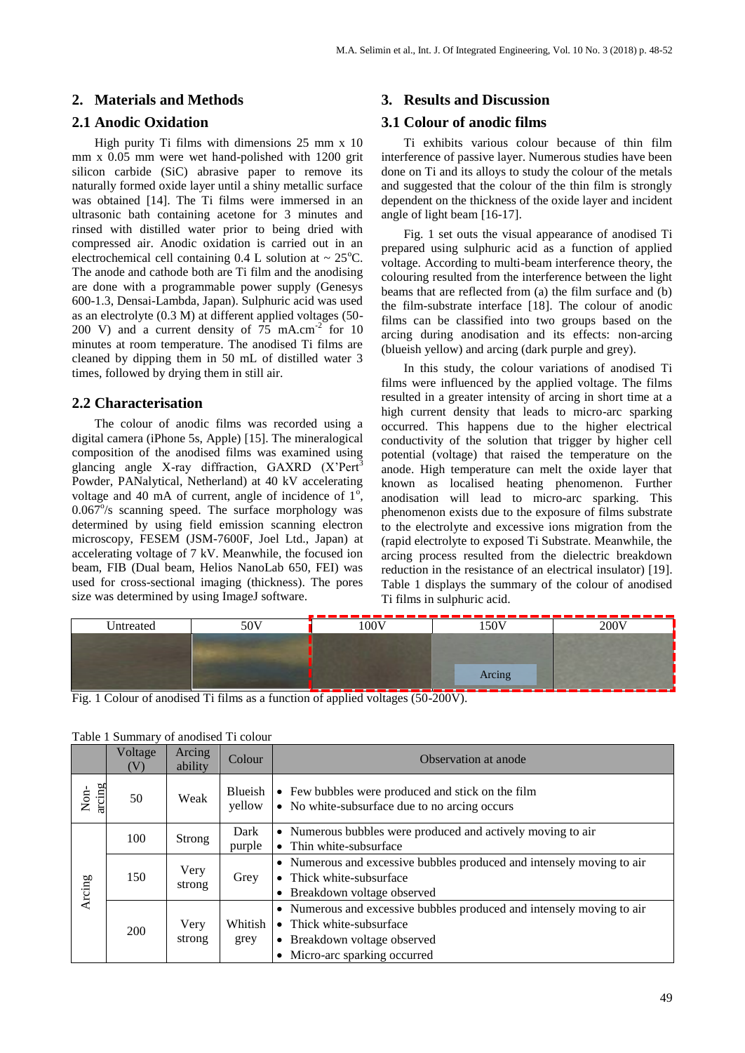#### **2. Materials and Methods**

#### **2.1 Anodic Oxidation**

High purity Ti films with dimensions 25 mm x 10 mm x 0.05 mm were wet hand-polished with 1200 grit silicon carbide (SiC) abrasive paper to remove its naturally formed oxide layer until a shiny metallic surface was obtained [14]. The Ti films were immersed in an ultrasonic bath containing acetone for 3 minutes and rinsed with distilled water prior to being dried with compressed air. Anodic oxidation is carried out in an electrochemical cell containing 0.4 L solution at  $\sim 25^{\circ}$ C. The anode and cathode both are Ti film and the anodising are done with a programmable power supply (Genesys 600-1.3, Densai-Lambda, Japan). Sulphuric acid was used as an electrolyte (0.3 M) at different applied voltages (50- 200 V) and a current density of  $75 \text{ mA.cm}^2$  for 10 minutes at room temperature. The anodised Ti films are cleaned by dipping them in 50 mL of distilled water 3 times, followed by drying them in still air.

#### **2.2 Characterisation**

The colour of anodic films was recorded using a digital camera (iPhone 5s, Apple) [15]. The mineralogical composition of the anodised films was examined using glancing angle X-ray diffraction,  $GAXRD$   $(X'Pert<sup>3</sup>)$ Powder, PANalytical, Netherland) at 40 kV accelerating voltage and 40 mA of current, angle of incidence of  $1^\circ$ ,  $0.067\%$  scanning speed. The surface morphology was determined by using field emission scanning electron microscopy, FESEM (JSM-7600F, Joel Ltd., Japan) at accelerating voltage of 7 kV. Meanwhile, the focused ion beam, FIB (Dual beam, Helios NanoLab 650, FEI) was used for cross-sectional imaging (thickness). The pores size was determined by using ImageJ software.

#### **3. Results and Discussion**

#### **3.1 Colour of anodic films**

Ti exhibits various colour because of thin film interference of passive layer. Numerous studies have been done on Ti and its alloys to study the colour of the metals and suggested that the colour of the thin film is strongly dependent on the thickness of the oxide layer and incident angle of light beam [16-17].

Fig. 1 set outs the visual appearance of anodised Ti prepared using sulphuric acid as a function of applied voltage. According to multi-beam interference theory, the colouring resulted from the interference between the light beams that are reflected from (a) the film surface and (b) the film-substrate interface [18]. The colour of anodic films can be classified into two groups based on the arcing during anodisation and its effects: non-arcing (blueish yellow) and arcing (dark purple and grey).

In this study, the colour variations of anodised Ti films were influenced by the applied voltage. The films resulted in a greater intensity of arcing in short time at a high current density that leads to micro-arc sparking occurred. This happens due to the higher electrical conductivity of the solution that trigger by higher cell potential (voltage) that raised the temperature on the anode. High temperature can melt the oxide layer that known as localised heating phenomenon. Further anodisation will lead to micro-arc sparking. This phenomenon exists due to the exposure of films substrate to the electrolyte and excessive ions migration from the (rapid electrolyte to exposed Ti Substrate. Meanwhile, the arcing process resulted from the dielectric breakdown reduction in the resistance of an electrical insulator) [19]. Table 1 displays the summary of the colour of anodised Ti films in sulphuric acid.

| 50V<br>Intreated |  | 100V | 50V    | 200V |  |
|------------------|--|------|--------|------|--|
|                  |  |      |        |      |  |
|                  |  |      |        |      |  |
|                  |  |      | Arcing |      |  |

Fig. 1 Colour of anodised Ti films as a function of applied voltages (50-200V).

|                | Voltage<br>(V) | Arcing<br>ability                                                                  | Colour            | Observation at anode                                                                                                                                             |
|----------------|----------------|------------------------------------------------------------------------------------|-------------------|------------------------------------------------------------------------------------------------------------------------------------------------------------------|
| arcing<br>Non- | 50             | Weak                                                                               | Blueish<br>yellow | • Few bubbles were produced and stick on the film<br>• No white-subsurface due to no arcing occurs                                                               |
|                | 100            | Strong                                                                             | Dark<br>purple    | • Numerous bubbles were produced and actively moving to air<br>• Thin white-subsurface                                                                           |
| Arcing         | 150            | Very<br>• Thick white-subsurface<br>Grey<br>strong<br>• Breakdown voltage observed |                   | • Numerous and excessive bubbles produced and intensely moving to air                                                                                            |
|                | 200            | Very<br>strong                                                                     | Whitish<br>grey   | • Numerous and excessive bubbles produced and intensely moving to air<br>• Thick white-subsurface<br>• Breakdown voltage observed<br>Micro-arc sparking occurred |

|  |  | Table 1 Summary of anodised Ti colour |  |
|--|--|---------------------------------------|--|
|--|--|---------------------------------------|--|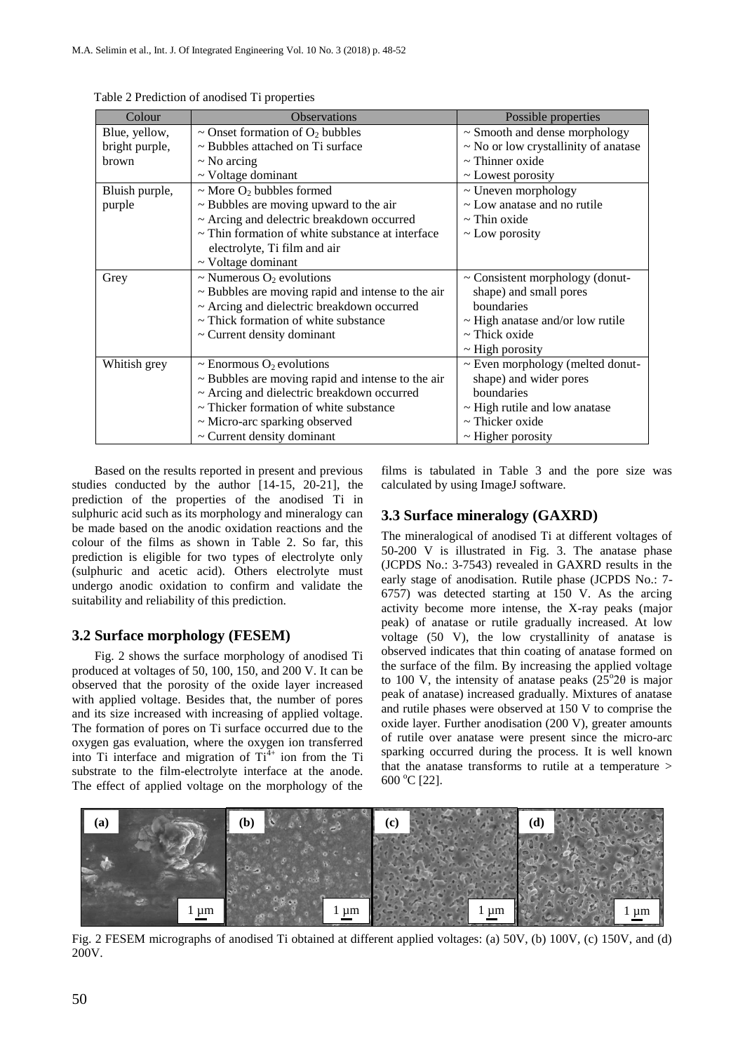| Colour         | <b>Observations</b>                                    | Possible properties                   |
|----------------|--------------------------------------------------------|---------------------------------------|
| Blue, yellow,  | $\sim$ Onset formation of O <sub>2</sub> bubbles       | $\sim$ Smooth and dense morphology    |
| bright purple, | $\sim$ Bubbles attached on Ti surface                  | ~ No or low crystallinity of anatase  |
| <b>brown</b>   | $\sim$ No arcing                                       | $\sim$ Thinner oxide                  |
|                | $\sim$ Voltage dominant                                | $\sim$ Lowest porosity                |
| Bluish purple, | $\sim$ More O <sub>2</sub> bubbles formed              | $\sim$ Uneven morphology              |
| purple         | $\sim$ Bubbles are moving upward to the air            | ~ Low anatase and no rutile           |
|                | ~ Arcing and delectric breakdown occurred              | $\sim$ Thin oxide                     |
|                | $\sim$ Thin formation of white substance at interface  | $\sim$ Low porosity                   |
|                | electrolyte, Ti film and air                           |                                       |
|                | $\sim$ Voltage dominant                                |                                       |
| Grey           | ~ Numerous $O_2$ evolutions                            | $\sim$ Consistent morphology (donut-  |
|                | $\sim$ Bubbles are moving rapid and intense to the air | shape) and small pores                |
|                | ~ Arcing and dielectric breakdown occurred             | boundaries                            |
|                | ~ Thick formation of white substance                   | $\sim$ High anatase and/or low rutile |
|                | $\sim$ Current density dominant                        | $\sim$ Thick oxide                    |
|                |                                                        | $\sim$ High porosity                  |
| Whitish grey   | $\sim$ Enormous O <sub>2</sub> evolutions              | $\sim$ Even morphology (melted donut- |
|                | $\sim$ Bubbles are moving rapid and intense to the air | shape) and wider pores                |
|                | ~ Arcing and dielectric breakdown occurred             | boundaries                            |
|                | $\sim$ Thicker formation of white substance            | $\sim$ High rutile and low anatase    |
|                | ~ Micro-arc sparking observed                          | $\sim$ Thicker oxide                  |
|                | $\sim$ Current density dominant                        | $\sim$ Higher porosity                |

Table 2 Prediction of anodised Ti properties

Based on the results reported in present and previous studies conducted by the author [14-15, 20-21], the prediction of the properties of the anodised Ti in sulphuric acid such as its morphology and mineralogy can be made based on the anodic oxidation reactions and the colour of the films as shown in Table 2. So far, this prediction is eligible for two types of electrolyte only (sulphuric and acetic acid). Others electrolyte must undergo anodic oxidation to confirm and validate the suitability and reliability of this prediction.

#### **3.2 Surface morphology (FESEM)**

Fig. 2 shows the surface morphology of anodised Ti produced at voltages of 50, 100, 150, and 200 V. It can be observed that the porosity of the oxide layer increased with applied voltage. Besides that, the number of pores and its size increased with increasing of applied voltage. The formation of pores on Ti surface occurred due to the oxygen gas evaluation, where the oxygen ion transferred into Ti interface and migration of  $Ti<sup>4+</sup>$  ion from the Ti substrate to the film-electrolyte interface at the anode. The effect of applied voltage on the morphology of the films is tabulated in Table 3 and the pore size was calculated by using ImageJ software.

#### **3.3 Surface mineralogy (GAXRD)**

The mineralogical of anodised Ti at different voltages of 50-200 V is illustrated in Fig. 3. The anatase phase (JCPDS No.: 3-7543) revealed in GAXRD results in the early stage of anodisation. Rutile phase (JCPDS No.: 7- 6757) was detected starting at 150 V. As the arcing activity become more intense, the X-ray peaks (major peak) of anatase or rutile gradually increased. At low voltage (50 V), the low crystallinity of anatase is observed indicates that thin coating of anatase formed on the surface of the film. By increasing the applied voltage to 100 V, the intensity of anatase peaks  $(25^{\circ}2\theta)$  is major peak of anatase) increased gradually. Mixtures of anatase and rutile phases were observed at 150 V to comprise the oxide layer. Further anodisation (200 V), greater amounts of rutile over anatase were present since the micro-arc sparking occurred during the process. It is well known that the anatase transforms to rutile at a temperature > 600 °C [22].



Fig. 2 FESEM micrographs of anodised Ti obtained at different applied voltages: (a) 50V, (b) 100V, (c) 150V, and (d) 200V.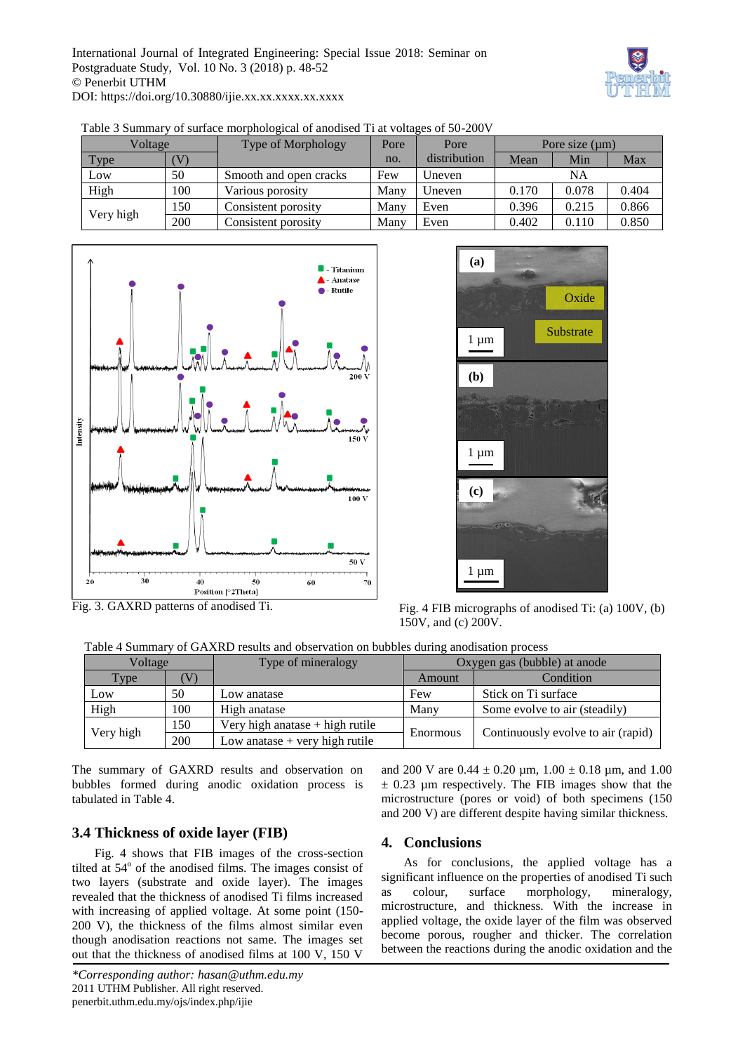

| Voltage   |     | Type of Morphology     | Pore | Pore         | Pore size $(\mu m)$ |       |       |
|-----------|-----|------------------------|------|--------------|---------------------|-------|-------|
| Type      |     |                        | no.  | distribution | Mean                | Min   | Max   |
| Low       | 50  | Smooth and open cracks | Few  | Uneven       | NA                  |       |       |
| High      | 100 | Various porosity       | Many | Uneven       | 0.170               | 0.078 | 0.404 |
| Very high | 150 | Consistent porosity    | Many | Even         | 0.396               | 0.215 | 0.866 |
|           | 200 | Consistent porosity    | Many | Even         | 0.402               | 0.110 | 0.850 |

Table 3 Summary of surface morphological of anodised Ti at voltages of 50-200V





Fig. 3. GAXRD patterns of anodised Ti.

Fig. 4 FIB micrographs of anodised Ti: (a) 100V, (b) 150V, and (c) 200V.

Table 4 Summary of GAXRD results and observation on bubbles during anodisation process

| Voltage           |     | Type of mineralogy                | Oxygen gas (bubble) at anode |                                    |  |
|-------------------|-----|-----------------------------------|------------------------------|------------------------------------|--|
| Type <sup>1</sup> |     |                                   | Amount                       | Condition                          |  |
| Low               | 50  | Low anatase                       | Few                          | Stick on Ti surface                |  |
| High              | 100 | High anatase                      | Many                         | Some evolve to air (steadily)      |  |
|                   | 150 | Very high anatase $+$ high rutile |                              | Continuously evolve to air (rapid) |  |
| Very high         | 200 | Low anatase $+$ very high rutile  | Enormous                     |                                    |  |

The summary of GAXRD results and observation on bubbles formed during anodic oxidation process is tabulated in Table 4.

## **3.4 Thickness of oxide layer (FIB)**

Fig. 4 shows that FIB images of the cross-section tilted at 54° of the anodised films. The images consist of two layers (substrate and oxide layer). The images revealed that the thickness of anodised Ti films increased with increasing of applied voltage. At some point (150- 200 V), the thickness of the films almost similar even though anodisation reactions not same. The images set out that the thickness of anodised films at 100 V, 150 V

and 200 V are  $0.44 \pm 0.20$  µm,  $1.00 \pm 0.18$  µm, and  $1.00$  $\pm$  0.23 µm respectively. The FIB images show that the microstructure (pores or void) of both specimens (150 and 200 V) are different despite having similar thickness.

## **4. Conclusions**

As for conclusions, the applied voltage has a significant influence on the properties of anodised Ti such as colour, surface morphology, mineralogy, microstructure, and thickness. With the increase in applied voltage, the oxide layer of the film was observed become porous, rougher and thicker. The correlation between the reactions during the anodic oxidation and the